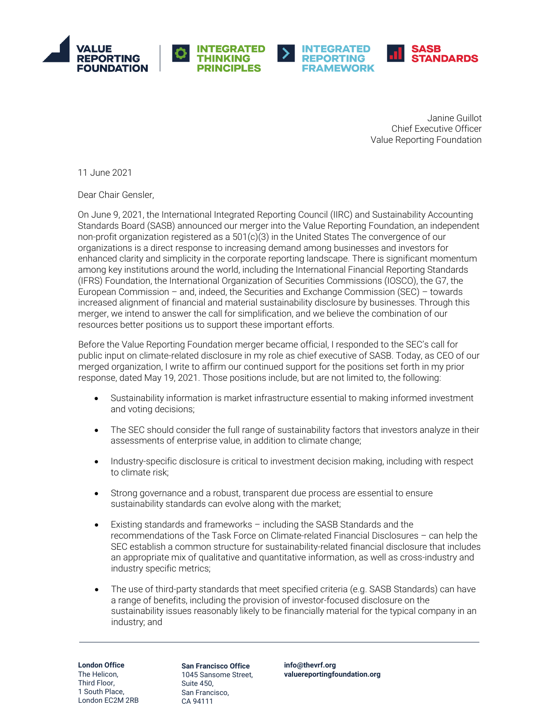







Janine Guillot Chief Executive Officer Value Reporting Foundation

11 June 2021

Dear Chair Gensler,

On June 9, 2021, the International Integrated Reporting Council (IIRC) and Sustainability Accounting Standards Board (SASB) announced our merger into the Value Reporting Foundation, an independent non-profit organization registered as a 501(c)(3) in the United States The convergence of our organizations is a direct response to increasing demand among businesses and investors for enhanced clarity and simplicity in the corporate reporting landscape. There is significant momentum among key institutions around the world, including the International Financial Reporting Standards (IFRS) Foundation, the International Organization of Securities Commissions (IOSCO), the G7, the European Commission – and, indeed, the Securities and Exchange Commission (SEC) – towards increased alignment of financial and material sustainability disclosure by businesses. Through this merger, we intend to answer the call for simplification, and we believe the combination of our resources better positions us to support these important efforts.

Before the Value Reporting Foundation merger became official, I responded to the SEC's call for public input on climate-related disclosure in my role as chief executive of SASB. Today, as CEO of our merged organization, I write to affirm our continued support for the positions set forth in my prior response, dated May 19, 2021. Those positions include, but are not limited to, the following:

- Sustainability information is market infrastructure essential to making informed investment and voting decisions;
- The SEC should consider the full range of sustainability factors that investors analyze in their assessments of enterprise value, in addition to climate change;
- Industry-specific disclosure is critical to investment decision making, including with respect to climate risk;
- Strong governance and a robust, transparent due process are essential to ensure sustainability standards can evolve along with the market;
- Existing standards and frameworks including the SASB Standards and the recommendations of the Task Force on Climate-related Financial Disclosures – can help the SEC establish a common structure for sustainability-related financial disclosure that includes an appropriate mix of qualitative and quantitative information, as well as cross-industry and industry specific metrics;
- The use of third-party standards that meet specified criteria (e.g. SASB Standards) can have a range of benefits, including the provision of investor-focused disclosure on the sustainability issues reasonably likely to be financially material for the typical company in an industry; and

**London Office** The Helicon, Third Floor, 1 South Place, London EC2M 2RB

**San Francisco Office** 1045 Sansome Street, Suite 450, San Francisco, CA 94111

**[info@thevrf.org](mailto:info@thevrf.org) [valuereportingfoundation.org](http://www.valuereportingfoundation.org/)**